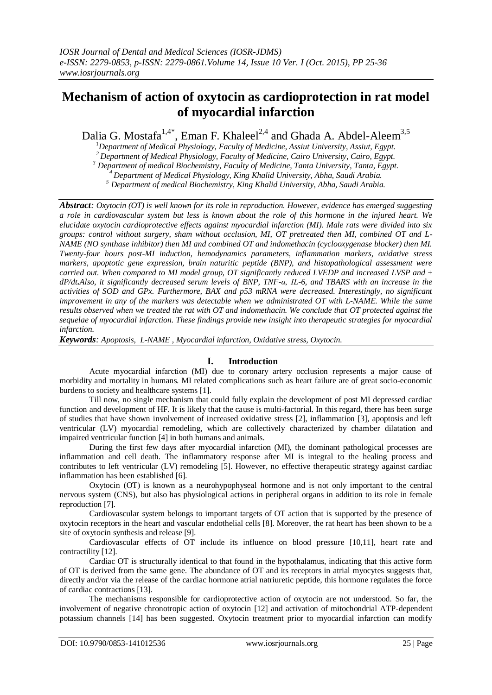# **Mechanism of action of oxytocin as cardioprotection in rat model of myocardial infarction**

Dalia G. Mostafa<sup>1,4\*</sup>, Eman F. Khaleel<sup>2,4</sup> and Ghada A. Abdel-Aleem<sup>3,5</sup>

<sup>1</sup>*Department of Medical Physiology, Faculty of Medicine, Assiut University, Assiut, Egypt.*

*<sup>2</sup>Department of Medical Physiology, Faculty of Medicine, Cairo University, Cairo, Egypt.*

*<sup>3</sup> Department of medical Biochemistry, Faculty of Medicine, Tanta University, Tanta, Egypt.*

*<sup>4</sup>Department of Medical Physiology, King Khalid University, Abha, Saudi Arabia.*

*<sup>5</sup> Department of medical Biochemistry, King Khalid University, Abha, Saudi Arabia.*

*Abstract: Oxytocin (OT) is well known for its role in reproduction. However, evidence has emerged suggesting a role in cardiovascular system but less is known about the role of this hormone in the injured heart. We elucidate oxytocin cardioprotective effects against myocardial infarction (MI). Male rats were divided into six groups: control without surgery, sham without occlusion, MI, OT pretreated then MI, combined OT and L-NAME (NO synthase inhibitor) then MI and combined OT and indomethacin (cyclooxygenase blocker) then MI. Twenty-four hours post-MI induction, hemodynamics parameters, inflammation markers, oxidative stress markers, apoptotic gene expression, brain naturitic peptide (BNP), and histopathological assessment were carried out. When compared to MI model group, OT significantly reduced LVEDP and increased LVSP and ± dP/dt.Also, it significantly decreased serum levels of BNP, TNF-α, IL-6, and TBARS with an increase in the activities of SOD and GPx. Furthermore, BAX and p53 mRNA were decreased. Interestingly, no significant improvement in any of the markers was detectable when we administrated OT with L-NAME. While the same results observed when we treated the rat with OT and indomethacin. We conclude that OT protected against the sequelae of myocardial infarction. These findings provide new insight into therapeutic strategies for myocardial infarction.*

*Keywords: Apoptosis, L-NAME , Myocardial infarction, Oxidative stress, Oxytocin.*

# **I. Introduction**

Acute myocardial infarction (MI) due to coronary artery occlusion represents a major cause of morbidity and mortality in humans. MI related complications such as heart failure are of great socio-economic burdens to society and healthcare systems [1].

Till now, no single mechanism that could fully explain the development of post MI depressed cardiac function and development of HF. It is likely that the cause is multi-factorial. In this regard, there has been surge of studies that have shown involvement of increased oxidative stress [2], inflammation [3], apoptosis and left ventricular (LV) myocardial remodeling, which are collectively characterized by chamber dilatation and impaired ventricular function [4] in both humans and animals.

During the first few days after myocardial infarction (MI), the dominant pathological processes are inflammation and cell death. The inflammatory response after MI is integral to the healing process and contributes to left ventricular (LV) remodeling [5]. However, no effective therapeutic strategy against cardiac inflammation has been established [6].

Oxytocin (OT) is known as a neurohypophyseal hormone and is not only important to the central nervous system (CNS), but also has physiological actions in peripheral organs in addition to its role in female reproduction [7].

Cardiovascular system belongs to important targets of OT action that is supported by the presence of oxytocin receptors in the heart and vascular endothelial cells [8]. Moreover, the rat heart has been shown to be a site of oxytocin synthesis and release [9].

Cardiovascular effects of OT include its influence on blood pressure [10,11], heart rate and contractility [12].

Cardiac OT is structurally identical to that found in the hypothalamus, indicating that this active form of OT is derived from the same gene. The abundance of OT and its receptors in atrial myocytes suggests that, directly and/or via the release of the cardiac hormone atrial natriuretic peptide, this hormone regulates the force of cardiac contractions [13].

The mechanisms responsible for cardioprotective action of oxytocin are not understood. So far, the involvement of negative chronotropic action of oxytocin [12] and activation of mitochondrial ATP-dependent potassium channels [14] has been suggested. Oxytocin treatment prior to myocardial infarction can modify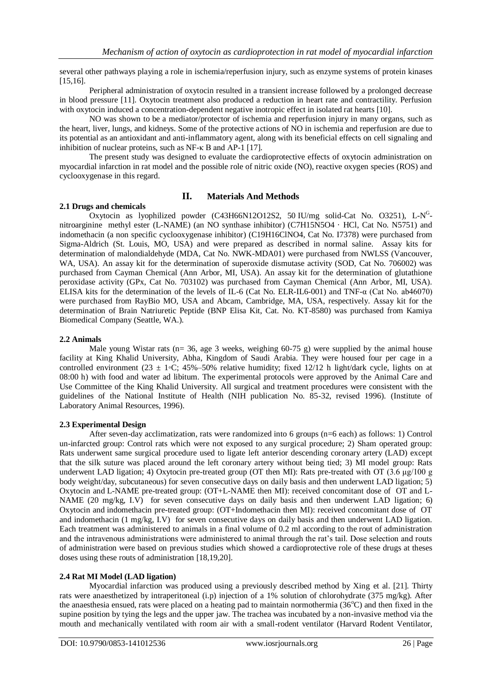several other pathways playing a role in ischemia/reperfusion injury, such as enzyme systems of protein kinases [15,16].

Peripheral administration of oxytocin resulted in a transient increase followed by a prolonged decrease in blood pressure [11]. Oxytocin treatment also produced a reduction in heart rate and contractility. Perfusion with oxytocin induced a concentration-dependent negative inotropic effect in isolated rat hearts [10].

NO was shown to be a mediator/protector of ischemia and reperfusion injury in many organs, such as the heart, liver, lungs, and kidneys. Some of the protective actions of NO in ischemia and reperfusion are due to its potential as an antioxidant and anti-inflammatory agent, along with its beneficial effects on cell signaling and inhibition of nuclear proteins, such as NF-κ B and AP-1 [17].

The present study was designed to evaluate the cardioprotective effects of oxytocin administration on myocardial infarction in rat model and the possible role of nitric oxide (NO), reactive oxygen species (ROS) and cyclooxygenase in this regard.

# **II. Materials And Methods**

#### **2.1 Drugs and chemicals**

Oxytocin as lyophilized powder (C43H66N12O12S2, 50 IU/mg solid-Cat No. O3251), L-N<sup>G</sup>nitroarginine methyl ester (L-NAME) (an NO synthase inhibitor) (C7H15N5O4 · HCl, Cat No. N5751) and indomethacin (a non specific cyclooxygenase inhibitor) (C19H16ClNO4, Cat No. I7378) were purchased from Sigma-Aldrich (St. Louis, MO, USA) and were prepared as described in normal saline. Assay kits for determination of malondialdehyde (MDA, Cat No. NWK-MDA01) were purchased from NWLSS (Vancouver, WA, USA). An assay kit for the determination of superoxide dismutase activity (SOD, Cat No. 706002) was purchased from Cayman Chemical (Ann Arbor, MI, USA). An assay kit for the determination of glutathione peroxidase activity (GPx, Cat No. 703102) was purchased from Cayman Chemical (Ann Arbor, MI, USA). ELISA kits for the determination of the levels of IL-6 (Cat No. ELR-IL6-001) and TNF-α (Cat No. ab46070) were purchased from RayBio MO, USA and Abcam, Cambridge, MA, USA, respectively. Assay kit for the determination of Brain Natriuretic Peptide (BNP Elisa Kit, Cat. No. KT-8580) was purchased from Kamiya Biomedical Company (Seattle, WA.).

# **2.2 Animals**

Male young Wistar rats (n= 36, age 3 weeks, weighing 60-75 g) were supplied by the animal house facility at King Khalid University, Abha, Kingdom of Saudi Arabia. They were housed four per cage in a controlled environment (23 ± 1◦C; 45%–50% relative humidity; fixed 12/12 h light/dark cycle, lights on at 08:00 h) with food and water ad libitum. The experimental protocols were approved by the Animal Care and Use Committee of the King Khalid University. All surgical and treatment procedures were consistent with the guidelines of the National Institute of Health (NIH publication No. 85-32, revised 1996). (Institute of Laboratory Animal Resources, 1996).

# **2.3 Experimental Design**

After seven-day acclimatization, rats were randomized into 6 groups (n=6 each) as follows: 1) Control un-infarcted group: Control rats which were not exposed to any surgical procedure; 2) Sham operated group: Rats underwent same surgical procedure used to ligate left anterior descending coronary artery (LAD) except that the silk suture was placed around the left coronary artery without being tied; 3) MI model group: Rats underwent LAD ligation; 4) Oxytocin pre-treated group (OT then MI): Rats pre-treated with OT (3.6 μg/100 g body weight/day, subcutaneous) for seven consecutive days on daily basis and then underwent LAD ligation; 5) Oxytocin and L-NAME pre-treated group: (OT+L-NAME then MI): received concomitant dose of OT and L-NAME (20 mg/kg, I.V) for seven consecutive days on daily basis and then underwent LAD ligation; 6) Oxytocin and indomethacin pre-treated group: (OT+Indomethacin then MI): received concomitant dose of OT and indomethacin (1 mg/kg, I.V) for seven consecutive days on daily basis and then underwent LAD ligation. Each treatment was administered to animals in a final volume of 0.2 ml according to the rout of administration and the intravenous administrations were administered to animal through the rat's tail. Dose selection and routs of administration were based on previous studies which showed a cardioprotective role of these drugs at theses doses using these routs of administration [18,19,20].

# **2.4 Rat MI Model (LAD ligation)**

Myocardial infarction was produced using a previously described method by Xing et al. [21]. Thirty rats were anaesthetized by intraperitoneal (i.p) injection of a 1% solution of chlorohydrate (375 mg/kg). After the anaesthesia ensued, rats were placed on a heating pad to maintain normothermia ( $36^{\circ}$ C) and then fixed in the supine position by tying the legs and the upper jaw. The trachea was incubated by a non-invasive method via the mouth and mechanically ventilated with room air with a small-rodent ventilator (Harvard Rodent Ventilator,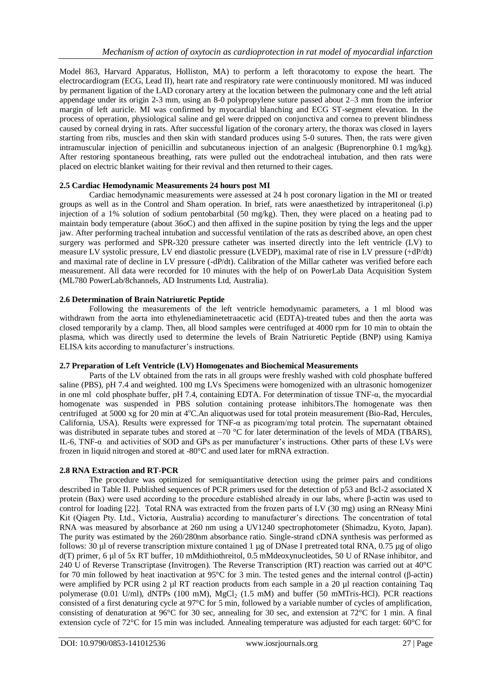Model 863, Harvard Apparatus, Holliston, MA) to perform a left thoracotomy to expose the heart. The electrocardiogram (ECG, Lead II), heart rate and respiratory rate were continuously monitored. MI was induced by permanent ligation of the LAD coronary artery at the location between the pulmonary cone and the left atrial appendage under its origin 2-3 mm, using an 8-0 polypropylene suture passed about 2–3 mm from the inferior margin of left auricle. MI was confirmed by myocardial blanching and ECG ST-segment elevation. In the process of operation, physiological saline and gel were dripped on conjunctiva and cornea to prevent blindness caused by corneal drying in rats. After successful ligation of the coronary artery, the thorax was closed in layers starting from ribs, muscles and then skin with standard produces using 5-0 sutures. Then, the rats were given intramuscular injection of penicillin and subcutaneous injection of an analgesic (Buprenorphine 0.1 mg/kg). After restoring spontaneous breathing, rats were pulled out the endotracheal intubation, and then rats were placed on electric blanket waiting for their revival and then returned to their cages.

# **2.5 Cardiac Hemodynamic Measurements 24 hours post MI**

Cardiac hemodynamic measurements were assessed at 24 h post coronary ligation in the MI or treated groups as well as in the Control and Sham operation. In brief, rats were anaesthetized by intraperitoneal (i.p) injection of a 1% solution of sodium pentobarbital (50 mg/kg). Then, they were placed on a heating pad to maintain body temperature (about 36oC) and then affixed in the supine position by tying the legs and the upper jaw. After performing tracheal intubation and successful ventilation of the rats as described above, an open chest surgery was performed and SPR-320 pressure catheter was inserted directly into the left ventricle (LV) to measure LV systolic pressure, LV end diastolic pressure (LVEDP), maximal rate of rise in LV pressure (+dP/dt) and maximal rate of decline in LV pressure (-dP/dt). Calibration of the Millar catheter was verified before each measurement. All data were recorded for 10 minutes with the help of on PowerLab Data Acquisition System (ML780 PowerLab/8channels, AD Instruments Ltd, Australia).

# **2.6 Determination of Brain Natriuretic Peptide**

Following the measurements of the left ventricle hemodynamic parameters, a 1 ml blood was withdrawn from the aorta into ethylenediaminetetraacetic acid (EDTA)-treated tubes and then the aorta was closed temporarily by a clamp. Then, all blood samples were centrifuged at 4000 rpm for 10 min to obtain the plasma, which was directly used to determine the levels of Brain Natriuretic Peptide (BNP) using Kamiya ELISA kits according to manufacturer's instructions.

# **2.7 Preparation of Left Ventricle (LV) Homogenates and Biochemical Measurements**

Parts of the LV obtained from the rats in all groups were freshly washed with cold phosphate buffered saline (PBS), pH 7.4 and weighted. 100 mg LVs Specimens were homogenized with an ultrasonic homogenizer in one ml cold phosphate buffer, pH 7.4, containing EDTA. For determination of tissue TNF-α, the myocardial homogenate was suspended in PBS solution containing protease inhibitors.The homogenate was then centrifuged at 5000 xg for 20 min at 4°C.An aliquotwas used for total protein measurement (Bio-Rad, Hercules, California, USA). Results were expressed for TNF- $\alpha$  as picogram/mg total protein. The supernatant obtained was distributed in separate tubes and stored at –70 °C for later determination of the levels of MDA (TBARS), IL-6, TNF- $\alpha$  and activities of SOD and GPs as per manufacturer's instructions. Other parts of these LVs were frozen in liquid nitrogen and stored at -80°C and used later for mRNA extraction.

# **2.8 RNA Extraction and RT-PCR**

The procedure was optimized for semiquantitative detection using the primer pairs and conditions described in Table II. Published sequences of PCR primers used for the detection of p53 and Bcl-2 associated X protein (Bax) were used according to the procedure established already in our labs, where β-actin was used to control for loading [22]. Total RNA was extracted from the frozen parts of LV (30 mg) using an RNeasy Mini Kit (Qiagen Pty. Ltd., Victoria, Australia) according to manufacturer's directions. The concentration of total RNA was measured by absorbance at 260 nm using a UV1240 spectrophotometer (Shimadzu, Kyoto, Japan). The purity was estimated by the 260/280nm absorbance ratio. Single-strand cDNA synthesis was performed as follows: 30  $\mu$  of reverse transcription mixture contained 1  $\mu$ g of DNase I pretreated total RNA, 0.75  $\mu$ g of oligo d(T) primer, 6 µl of 5x RT buffer, 10 mMdithiothreitol, 0.5 mMdeoxynucleotides, 50 U of RNase inhibitor, and 240 U of Reverse Transcriptase (Invitrogen). The Reverse Transcription (RT) reaction was carried out at 40°C for 70 min followed by heat inactivation at 95°C for 3 min. The tested genes and the internal control (β-actin) were amplified by PCR using 2 µl RT reaction products from each sample in a 20 µl reaction containing Taq polymerase (0.01 U/ml), dNTPs (100 mM),  $MgCl<sub>2</sub>$  (1.5 mM) and buffer (50 mMTris-HCl). PCR reactions consisted of a first denaturing cycle at 97°C for 5 min, followed by a variable number of cycles of amplification, consisting of denaturation at 96°C for 30 sec, annealing for 30 sec, and extension at 72°C for 1 min. A final extension cycle of 72°C for 15 min was included. Annealing temperature was adjusted for each target: 60°C for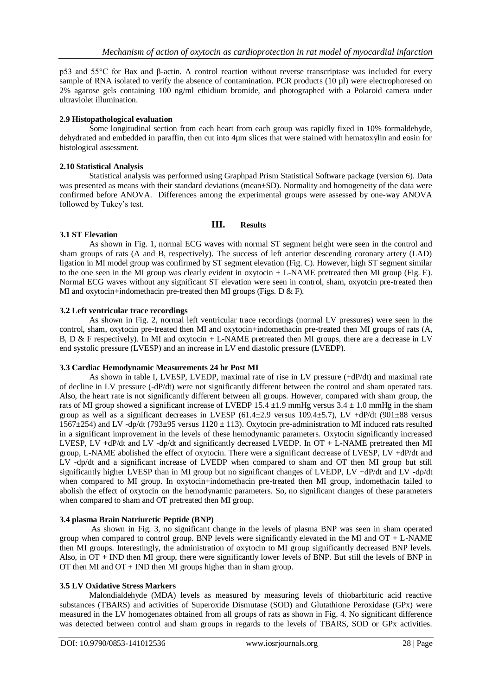p53 and 55°C for Bax and β-actin. A control reaction without reverse transcriptase was included for every sample of RNA isolated to verify the absence of contamination. PCR products (10 ul) were electrophoresed on 2% agarose gels containing 100 ng/ml ethidium bromide, and photographed with a Polaroid camera under ultraviolet illumination.

#### **2.9 Histopathological evaluation**

Some longitudinal section from each heart from each group was rapidly fixed in 10% formaldehyde, dehydrated and embedded in paraffin, then cut into 4µm slices that were stained with hematoxylin and eosin for histological assessment.

#### **2.10 Statistical Analysis**

Statistical analysis was performed using Graphpad Prism Statistical Software package (version 6). Data was presented as means with their standard deviations (mean±SD). Normality and homogeneity of the data were confirmed before ANOVA. Differences among the experimental groups were assessed by one-way ANOVA followed by Tukey's test.

# **III. Results**

# **3.1 ST Elevation**

As shown in Fig. 1, normal ECG waves with normal ST segment height were seen in the control and sham groups of rats (A and B, respectively). The success of left anterior descending coronary artery (LAD) ligation in MI model group was confirmed by ST segment elevation (Fig. C). However, high ST segment similar to the one seen in the MI group was clearly evident in oxytocin + L-NAME pretreated then MI group (Fig. E). Normal ECG waves without any significant ST elevation were seen in control, sham, oxyotcin pre-treated then MI and oxytocin+indomethacin pre-treated then MI groups (Figs.  $D & F$ ).

#### **3.2 Left ventricular trace recordings**

As shown in Fig. 2, normal left ventricular trace recordings (normal LV pressures) were seen in the control, sham, oxytocin pre-treated then MI and oxytocin+indomethacin pre-treated then MI groups of rats (A, B, D & F respectively). In MI and oxytocin + L-NAME pretreated then MI groups, there are a decrease in LV end systolic pressure (LVESP) and an increase in LV end diastolic pressure (LVEDP).

#### **3.3 Cardiac Hemodynamic Measurements 24 hr Post MI**

As shown in table I, LVESP, LVEDP, maximal rate of rise in LV pressure (+dP/dt) and maximal rate of decline in LV pressure (-dP/dt) were not significantly different between the control and sham operated rats. Also, the heart rate is not significantly different between all groups. However, compared with sham group, the rats of MI group showed a significant increase of LVEDP 15.4  $\pm$ 1.9 mmHg versus 3.4  $\pm$  1.0 mmHg in the sham group as well as a significant decreases in LVESP (61.4 $\pm$ 2.9 versus 109.4 $\pm$ 5.7), LV +dP/dt (901 $\pm$ 88 versus 1567 $\pm$ 254) and LV -dp/dt (793 $\pm$ 95 versus 1120  $\pm$  113). Oxytocin pre-administration to MI induced rats resulted in a significant improvement in the levels of these hemodynamic parameters. Oxytocin significantly increased LVESP, LV +dP/dt and LV -dp/dt and significantly decreased LVEDP. In OT + L-NAME pretreated then MI group, L-NAME abolished the effect of oxytocin. There were a significant decrease of LVESP, LV +dP/dt and LV -dp/dt and a significant increase of LVEDP when compared to sham and OT then MI group but still significantly higher LVESP than in MI group but no significant changes of LVEDP, LV +dP/dt and LV -dp/dt when compared to MI group. In oxytocin+indomethacin pre-treated then MI group, indomethacin failed to abolish the effect of oxytocin on the hemodynamic parameters. So, no significant changes of these parameters when compared to sham and OT pretreated then MI group.

# **3.4 plasma Brain Natriuretic Peptide (BNP)**

As shown in Fig. 3, no significant change in the levels of plasma BNP was seen in sham operated group when compared to control group. BNP levels were significantly elevated in the MI and  $OT + L$ -NAME then MI groups. Interestingly, the administration of oxytocin to MI group significantly decreased BNP levels. Also, in  $\overline{OT}$  + IND then MI group, there were significantly lower levels of BNP. But still the levels of BNP in OT then MI and  $OT + IND$  then MI groups higher than in sham group.

# **3.5 LV Oxidative Stress Markers**

Malondialdehyde (MDA) levels as measured by measuring levels of thiobarbituric acid reactive substances (TBARS) and activities of Superoxide Dismutase (SOD) and Glutathione Peroxidase (GPx) were measured in the LV homogenates obtained from all groups of rats as shown in Fig. 4. No significant difference was detected between control and sham groups in regards to the levels of TBARS, SOD or GPx activities.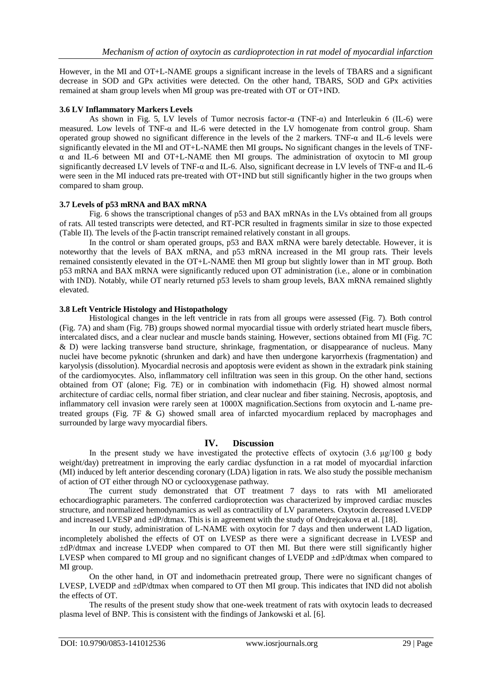However, in the MI and OT+L-NAME groups a significant increase in the levels of TBARS and a significant decrease in SOD and GPx activities were detected. On the other hand, TBARS, SOD and GPx activities remained at sham group levels when MI group was pre-treated with OT or OT+IND.

# **3.6 LV Inflammatory Markers Levels**

As shown in Fig. 5, LV levels of Tumor necrosis factor- $\alpha$  (TNF- $\alpha$ ) and Interleukin 6 (IL-6) were measured. Low levels of TNF- $\alpha$  and IL-6 were detected in the LV homogenate from control group. Sham operated group showed no significant difference in the levels of the 2 markers. TNF-α and IL-6 levels were significantly elevated in the MI and OT+L-NAME then MI groups**.** No significant changes in the levels of TNFα and IL-6 between MI and OT+L-NAME then MI groups. The administration of oxytocin to MI group significantly decreased LV levels of TNF-α and IL-6. Also, significant decrease in LV levels of TNF-α and IL-6 were seen in the MI induced rats pre-treated with OT+IND but still significantly higher in the two groups when compared to sham group.

#### **3.7 Levels of p53 mRNA and BAX mRNA**

Fig. 6 shows the transcriptional changes of p53 and BAX mRNAs in the LVs obtained from all groups of rats. All tested transcripts were detected, and RT-PCR resulted in fragments similar in size to those expected (Table II). The levels of the β-actin transcript remained relatively constant in all groups.

In the control or sham operated groups, p53 and BAX mRNA were barely detectable. However, it is noteworthy that the levels of BAX mRNA, and p53 mRNA increased in the MI group rats. Their levels remained consistently elevated in the OT+L-NAME then MI group but slightly lower than in MT group. Both p53 mRNA and BAX mRNA were significantly reduced upon OT administration (i.e., alone or in combination with IND). Notably, while OT nearly returned p53 levels to sham group levels, BAX mRNA remained slightly elevated.

# **3.8 Left Ventricle Histology and Histopathology**

Histological changes in the left ventricle in rats from all groups were assessed (Fig. 7). Both control (Fig. 7A) and sham (Fig. 7B) groups showed normal myocardial tissue with orderly striated heart muscle fibers, intercalated discs, and a clear nuclear and muscle bands staining. However, sections obtained from MI (Fig. 7C & D) were lacking transverse band structure, shrinkage, fragmentation, or disappearance of nucleus. Many nuclei have become pyknotic (shrunken and dark) and have then undergone karyorrhexis (fragmentation) and karyolysis (dissolution). Myocardial necrosis and apoptosis were evident as shown in the extradark pink staining of the cardiomyocytes. Also, inflammatory cell infiltration was seen in this group. On the other hand, sections obtained from OT (alone; Fig. 7E) or in combination with indomethacin (Fig. H) showed almost normal architecture of cardiac cells, normal fiber striation, and clear nuclear and fiber staining. Necrosis, apoptosis, and inflammatory cell invasion were rarely seen at 1000X magnification.Sections from oxytocin and L-name pretreated groups (Fig. 7F & G) showed small area of infarcted myocardium replaced by macrophages and surrounded by large wavy myocardial fibers.

# **IV. Discussion**

In the present study we have investigated the protective effects of oxytocin  $(3.6 \text{ µg}/100 \text{ g}$  body weight/day) pretreatment in improving the early cardiac dysfunction in a rat model of myocardial infarction (MI) induced by left anterior descending coronary (LDA) ligation in rats. We also study the possible mechanism of action of OT either through NO or cyclooxygenase pathway.

The current study demonstrated that OT treatment 7 days to rats with MI ameliorated echocardiographic parameters. The conferred cardioprotection was characterized by improved cardiac muscles structure, and normalized hemodynamics as well as contractility of LV parameters. Oxytocin decreased LVEDP and increased LVESP and ±dP/dtmax. This is in agreement with the study of Ondrejcakova et al. [18].

In our study, administration of L-NAME with oxytocin for 7 days and then underwent LAD ligation, incompletely abolished the effects of OT on LVESP as there were a significant decrease in LVESP and ±dP/dtmax and increase LVEDP when compared to OT then MI. But there were still significantly higher LVESP when compared to MI group and no significant changes of LVEDP and ±dP/dtmax when compared to MI group.

On the other hand, in OT and indomethacin pretreated group, There were no significant changes of LVESP, LVEDP and ±dP/dtmax when compared to OT then MI group. This indicates that IND did not abolish the effects of OT.

The results of the present study show that one-week treatment of rats with oxytocin leads to decreased plasma level of BNP. This is consistent with the findings of Jankowski et al. [6].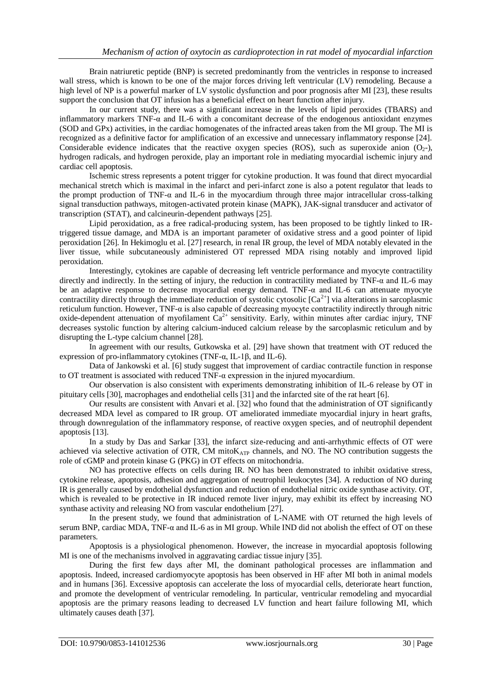Brain natriuretic peptide (BNP) is secreted predominantly from the ventricles in response to increased wall stress, which is known to be one of the major forces driving left ventricular (LV) remodeling. Because a high level of NP is a powerful marker of LV systolic dysfunction and poor prognosis after MI [23], these results support the conclusion that OT infusion has a beneficial effect on heart function after injury.

In our current study, there was a significant increase in the levels of lipid peroxides (TBARS) and inflammatory markers TNF-α and IL-6 with a concomitant decrease of the endogenous antioxidant enzymes (SOD and GPx) activities, in the cardiac homogenates of the infracted areas taken from the MI group. The MI is recognized as a definitive factor for amplification of an excessive and unnecessary inflammatory response [24]. Considerable evidence indicates that the reactive oxygen species (ROS), such as superoxide anion  $(O_2)$ -), hydrogen radicals, and hydrogen peroxide, play an important role in mediating myocardial ischemic injury and cardiac cell apoptosis.

Ischemic stress represents a potent trigger for cytokine production. It was found that direct myocardial mechanical stretch which is maximal in the infarct and peri-infarct zone is also a potent regulator that leads to the prompt production of TNF- $\alpha$  and IL-6 in the myocardium through three major intracellular cross-talking signal transduction pathways, mitogen-activated protein kinase (MAPK), JAK-signal transducer and activator of transcription (STAT), and calcineurin-dependent pathways [25].

Lipid peroxidation, as a free radical-producing system, has been proposed to be tightly linked to IRtriggered tissue damage, and MDA is an important parameter of oxidative stress and a good pointer of lipid peroxidation [26]. In Hekimoglu et al. [27] research, in renal IR group, the level of MDA notably elevated in the liver tissue, while subcutaneously administered OT repressed MDA rising notably and improved lipid peroxidation.

Interestingly, cytokines are capable of decreasing left ventricle performance and myocyte contractility directly and indirectly. In the setting of injury, the reduction in contractility mediated by TNF-α and IL-6 may be an adaptive response to decrease myocardial energy demand. TNF-α and IL-6 can attenuate myocyte contractility directly through the immediate reduction of systolic cytosolic  $[Ca^{2+}]$  via alterations in sarcoplasmic reticulum function. However, TNF-α is also capable of decreasing myocyte contractility indirectly through nitric oxide-dependent attenuation of myofilament  $Ca^{2+}$  sensitivity. Early, within minutes after cardiac injury, TNF decreases systolic function by altering calcium-induced calcium release by the sarcoplasmic reticulum and by disrupting the L-type calcium channel [28].

In agreement with our results, Gutkowska et al. [29] have shown that treatment with OT reduced the expression of pro-inflammatory cytokines (TNF-α, IL-1β, and IL-6).

Data of Jankowski et al. [6] study suggest that improvement of cardiac contractile function in response to OT treatment is associated with reduced TNF- $\alpha$  expression in the injured myocardium.

Our observation is also consistent with experiments demonstrating inhibition of IL-6 release by OT in pituitary cells [30], macrophages and endothelial cells [31] and the infarcted site of the rat heart [6].

Our results are consistent with Anvari et al. [32] who found that the administration of OT significantly decreased MDA level as compared to IR group. OT ameliorated immediate myocardial injury in heart grafts, through downregulation of the inflammatory response, of reactive oxygen species, and of neutrophil dependent apoptosis [13].

In a study by Das and Sarkar [33], the infarct size-reducing and anti-arrhythmic effects of OT were achieved via selective activation of OTR, CM mito $K_{ATP}$  channels, and NO. The NO contribution suggests the role of cGMP and protein kinase G (PKG) in OT effects on mitochondria.

NO has protective effects on cells during IR. NO has been demonstrated to inhibit oxidative stress, cytokine release, apoptosis, adhesion and aggregation of neutrophil leukocytes [34]. A reduction of NO during IR is generally caused by endothelial dysfunction and reduction of endothelial nitric oxide synthase activity. OT, which is revealed to be protective in IR induced remote liver injury, may exhibit its effect by increasing NO synthase activity and releasing NO from vascular endothelium [27].

In the present study, we found that administration of L-NAME with OT returned the high levels of serum BNP, cardiac MDA, TNF-α and IL-6 as in MI group. While IND did not abolish the effect of OT on these parameters.

Apoptosis is a physiological phenomenon. However, the increase in myocardial apoptosis following MI is one of the mechanisms involved in aggravating cardiac tissue injury [35].

During the first few days after MI, the dominant pathological processes are inflammation and apoptosis. Indeed, increased cardiomyocyte apoptosis has been observed in HF after MI both in animal models and in humans [36]. Excessive apoptosis can accelerate the loss of myocardial cells, deteriorate heart function, and promote the development of ventricular remodeling. In particular, ventricular remodeling and myocardial apoptosis are the primary reasons leading to decreased LV function and heart failure following MI, which ultimately causes death [37].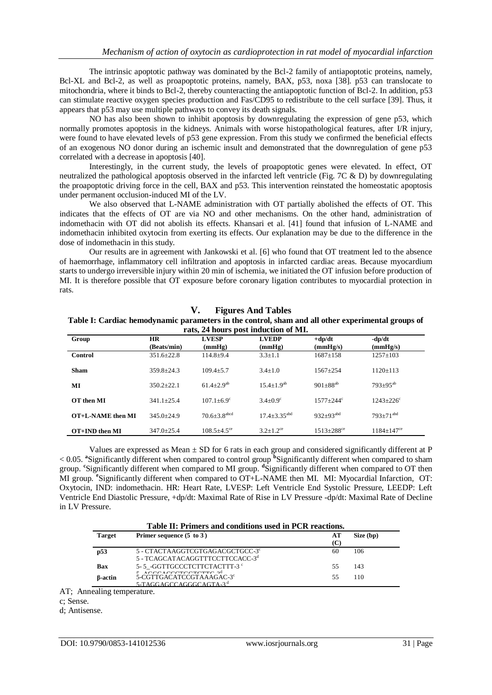The intrinsic apoptotic pathway was dominated by the Bcl-2 family of antiapoptotic proteins, namely, Bcl-XL and Bcl-2, as well as proapoptotic proteins, namely, BAX, p53, noxa [38]. p53 can translocate to mitochondria, where it binds to Bcl-2, thereby counteracting the antiapoptotic function of Bcl-2. In addition, p53 can stimulate reactive oxygen species production and Fas/CD95 to redistribute to the cell surface [39]. Thus, it appears that p53 may use multiple pathways to convey its death signals.

NO has also been shown to inhibit apoptosis by downregulating the expression of gene p53, which normally promotes apoptosis in the kidneys. Animals with worse histopathological features, after I/R injury, were found to have elevated levels of p53 gene expression. From this study we confirmed the beneficial effects of an exogenous NO donor during an ischemic insult and demonstrated that the downregulation of gene p53 correlated with a decrease in apoptosis [40].

Interestingly, in the current study, the levels of proapoptotic genes were elevated. In effect, OT neutralized the pathological apoptosis observed in the infarcted left ventricle (Fig. 7C & D) by downregulating the proapoptotic driving force in the cell, BAX and p53. This intervention reinstated the homeostatic apoptosis under permanent occlusion-induced MI of the LV.

We also observed that L-NAME administration with OT partially abolished the effects of OT. This indicates that the effects of OT are via NO and other mechanisms. On the other hand, administration of indomethacin with OT did not abolish its effects. Khansari et al. [41] found that infusion of L-NAME and indomethacin inhibited oxytocin from exerting its effects. Our explanation may be due to the difference in the dose of indomethacin in this study.

Our results are in agreement with Jankowski et al. [6] who found that OT treatment led to the absence of haemorrhage, inflammatory cell infiltration and apoptosis in infarcted cardiac areas. Because myocardium starts to undergo irreversible injury within 20 min of ischemia, we initiated the OT infusion before production of MI. It is therefore possible that OT exposure before coronary ligation contributes to myocardial protection in rats.

**V. Figures And Tables**

| Table I: Cardiac hemodynamic parameters in the control, sham and all other experimental groups of |                          |                                |                                      |                              |                            |
|---------------------------------------------------------------------------------------------------|--------------------------|--------------------------------|--------------------------------------|------------------------------|----------------------------|
|                                                                                                   |                          |                                | rats, 24 hours post induction of MI. |                              |                            |
| Group                                                                                             | <b>HR</b><br>(Beats/min) | <b>LVESP</b><br>(mmHg)         | <b>LVEDP</b><br>(mmHg)               | $+dp/dt$<br>(mmHg/s)         | $-dp/dt$<br>(mmHg/s)       |
| Control                                                                                           | $351.6 \pm 22.8$         | $114.8 + 9.4$                  | $3.3 \pm 1.1$                        | $1687 \pm 158$               | $1257 \pm 103$             |
| <b>Sham</b>                                                                                       | $359.8 \pm 24.3$         | $109.4 + 5.7$                  | $3.4 + 1.0$                          | $1567 + 254$                 | $1120 \pm 113$             |
| МI                                                                                                | $350.2 + 22.1$           | $61.4 \pm 2.9^{ab}$            | $15.4 \pm 1.9^{ab}$                  | $901 \pm 88^{ab}$            | $793 \pm 95^{ab}$          |
| OT then MI                                                                                        | $341.1 \pm 25.4$         | $107.1 + 6.9^{\circ}$          | $3.4 + 0.9^{\circ}$                  | $1577 + 244$ <sup>c</sup>    | $1243 + 226^{\circ}$       |
| OT+L-NAME then MI                                                                                 | $345.0 \pm 24.9$         | $70.6 \pm 3.8$ <sup>abcd</sup> | $17.4 + 3.35$ <sup>abd</sup>         | $932 \pm 93$ <sup>abd</sup>  | $793 + 71$ <sup>abd</sup>  |
| OT+IND then MI                                                                                    | $347.0 + 25.4$           | $108.5 + 4.5$ <sup>ce</sup>    | $3.2 + 1.2$ <sup>ce</sup>            | $1513 \pm 288$ <sup>ce</sup> | $1184 + 147$ <sup>ce</sup> |

Values are expressed as Mean  $\pm$  SD for 6 rats in each group and considered significantly different at P < 0.05. **<sup>a</sup>** Significantly different when compared to control group **<sup>b</sup>** Significantly different when compared to sham group. <sup>c</sup>Significantly different when compared to MI group. <sup>d</sup>Significantly different when compared to OT then MI group. **<sup>e</sup>** Significantly different when compared to OT+L-NAME then MI. MI: Myocardial Infarction, OT: Oxytocin, IND: indomethacin. HR: Heart Rate, LVESP: Left Ventricle End Systolic Pressure, LEEDP: Left Ventricle End Diastolic Pressure, +dp/dt: Maximal Rate of Rise in LV Pressure -dp/dt: Maximal Rate of Decline in LV Pressure.

| <b>Target</b>   | Primer sequence $(5$ to $3)$                     | АT | Size (bp) |
|-----------------|--------------------------------------------------|----|-----------|
| p <sub>53</sub> | 5 - CTACTAAGGTCGTGAGACGCTGCC-3 <sup>c</sup>      | 60 | 106       |
|                 | 5 - TCAGCATACAGGTTTCCTTCCACC-3 <sup>d</sup>      |    |           |
| <b>Bax</b>      | 5-5_-GGTTGCCCTCTTCTACTTT-3 °                     | 55 | 143       |
| <b>B-actin</b>  | ACCOACCCTCCTCTCTC 24<br>5-CGTTGACATCCGTAAAGAC-3° | 55 | 110       |
|                 | 5-TAGGAGCCAGGGCAGTA-3 <sup>d</sup>               |    |           |

AT; Annealing temperature.

d; Antisense.

c; Sense.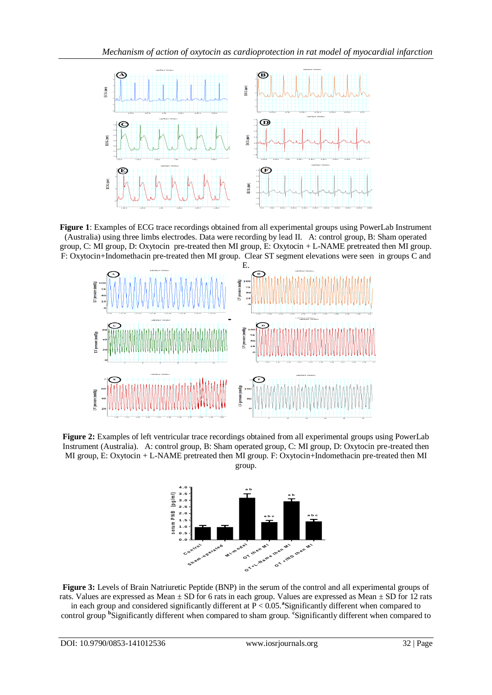

**Figure 1**: Examples of ECG trace recordings obtained from all experimental groups using PowerLab Instrument (Australia) using three limbs electrodes. Data were recording by lead II. A: control group, B: Sham operated group, C: MI group, D: Oxytocin pre-treated then MI group, E: Oxytocin + L-NAME pretreated then MI group. F: Oxytocin+Indomethacin pre-treated then MI group. Clear ST segment elevations were seen in groups C and



**Figure 2:** Examples of left ventricular trace recordings obtained from all experimental groups using PowerLab Instrument (Australia). A: control group, B: Sham operated group, C: MI group, D: Oxytocin pre-treated then MI group, E: Oxytocin + L-NAME pretreated then MI group. F: Oxytocin+Indomethacin pre-treated then MI group.



**Figure 3:** Levels of Brain Natriuretic Peptide (BNP) in the serum of the control and all experimental groups of rats. Values are expressed as Mean  $\pm$  SD for 6 rats in each group. Values are expressed as Mean  $\pm$  SD for 12 rats in each group and considered significantly different at P < 0.05.**<sup>a</sup>** Significantly different when compared to control group **<sup>b</sup>** Significantly different when compared to sham group. **<sup>c</sup>** Significantly different when compared to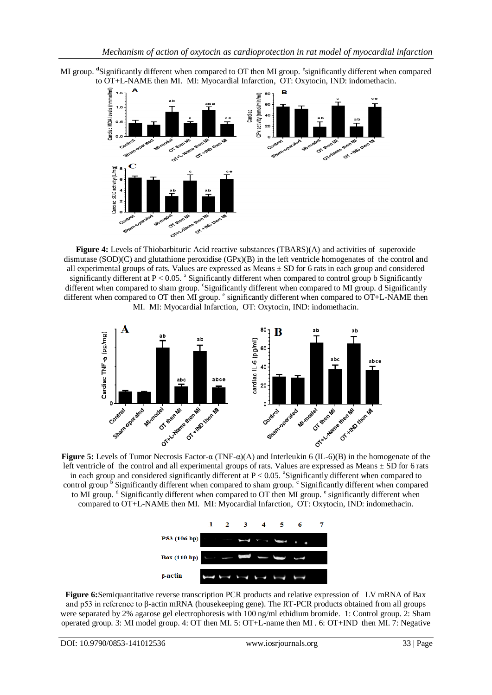



**Figure 4:** Levels of Thiobarbituric Acid reactive substances (TBARS)(A) and activities of superoxide dismutase (SOD)(C) and glutathione peroxidise (GPx)(B) in the left ventricle homogenates of the control and all experimental groups of rats. Values are expressed as Means ± SD for 6 rats in each group and considered significantly different at P < 0.05. <sup>a</sup> Significantly different when compared to control group b Significantly different when compared to sham group. 'Significantly different when compared to MI group. d Significantly different when compared to OT then MI group. <sup>e</sup> significantly different when compared to OT+L-NAME then MI. MI: Myocardial Infarction, OT: Oxytocin, IND: indomethacin.



left ventricle of the control and all experimental groups of rats. Values are expressed as Means  $\pm$  SD for 6 rats in each group and considered significantly different at  $P < 0.05$ . <sup>a</sup>Significantly different when compared to control group  $\overline{b}$  Significantly different when compared to sham group.  $\overline{c}$  Significantly different when compared to MI group. <sup>d</sup> Significantly different when compared to OT then MI group. <sup>e</sup> significantly different when compared to OT+L-NAME then MI. MI: Myocardial Infarction, OT: Oxytocin, IND: indomethacin.



**Figure 6:**Semiquantitative reverse transcription PCR products and relative expression of LV mRNA of Bax and p53 in reference to β-actin mRNA (housekeeping gene). The RT-PCR products obtained from all groups were separated by 2% agarose gel electrophoresis with 100 ng/ml ethidium bromide. 1: Control group. 2: Sham operated group. 3: MI model group. 4: OT then MI. 5: OT+L-name then MI . 6: OT+IND then MI. 7: Negative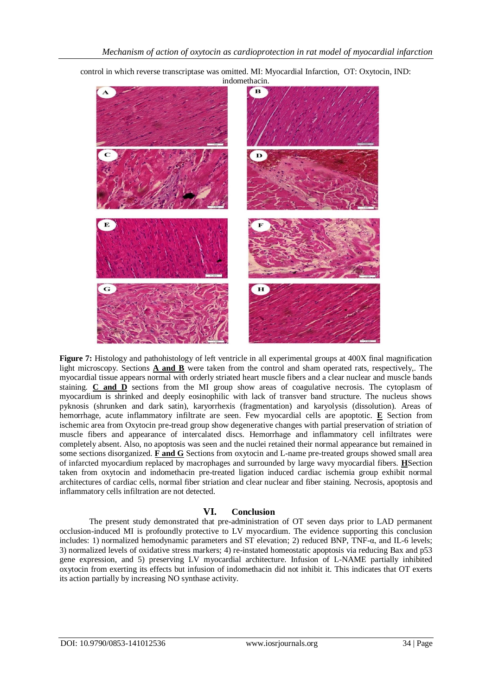

control in which reverse transcriptase was omitted. MI: Myocardial Infarction, OT: Oxytocin, IND: indomethacin.

**Figure 7:** Histology and pathohistology of left ventricle in all experimental groups at 400X final magnification light microscopy. Sections **A and B** were taken from the control and sham operated rats, respectively,. The myocardial tissue appears normal with orderly striated heart muscle fibers and a clear nuclear and muscle bands staining. **C and D** sections from the MI group show areas of coagulative necrosis. The cytoplasm of myocardium is shrinked and deeply eosinophilic with lack of transver band structure. The nucleus shows pyknosis (shrunken and dark satin), karyorrhexis (fragmentation) and karyolysis (dissolution). Areas of hemorrhage, acute inflammatory infiltrate are seen. Few myocardial cells are apoptotic. **E** Section from ischemic area from Oxytocin pre-tread group show degenerative changes with partial preservation of striation of muscle fibers and appearance of intercalated discs. Hemorrhage and inflammatory cell infiltrates were completely absent. Also, no apoptosis was seen and the nuclei retained their normal appearance but remained in some sections disorganized. **F and G** Sections from oxytocin and L-name pre-treated groups showed small area of infarcted myocardium replaced by macrophages and surrounded by large wavy myocardial fibers. **H**Section taken from oxytocin and indomethacin pre-treated ligation induced cardiac ischemia group exhibit normal architectures of cardiac cells, normal fiber striation and clear nuclear and fiber staining. Necrosis, apoptosis and inflammatory cells infiltration are not detected.

# **VI. Conclusion**

The present study demonstrated that pre-administration of OT seven days prior to LAD permanent occlusion-induced MI is profoundly protective to LV myocardium. The evidence supporting this conclusion includes: 1) normalized hemodynamic parameters and ST elevation; 2) reduced BNP, TNF-α, and IL-6 levels; 3) normalized levels of oxidative stress markers; 4) re-instated homeostatic apoptosis via reducing Bax and p53 gene expression, and 5) preserving LV myocardial architecture. Infusion of L-NAME partially inhibited oxytocin from exerting its effects but infusion of indomethacin did not inhibit it. This indicates that OT exerts its action partially by increasing NO synthase activity.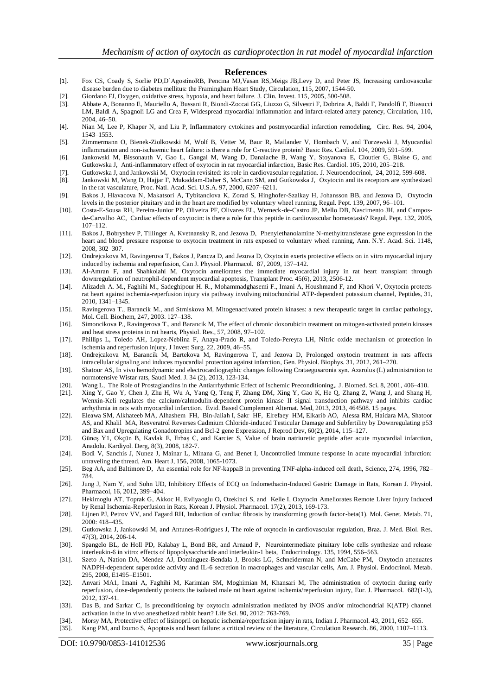#### **References**

- [1]. Fox CS, Coady S, Sorlie P[D,D'AgostinoRB,](http://circ.ahajournals.org/search?author1=Ralph+B.+D%E2%80%99Agostino+Sr&sortspec=date&submit=Submit) [Pencina](http://circ.ahajournals.org/search?author1=Michael+J.+Pencina&sortspec=date&submit=Submit) MJ[,Vasan](http://circ.ahajournals.org/search?author1=Ramachandran+S.+Vasan&sortspec=date&submit=Submit) R[S,Meigs](http://circ.ahajournals.org/search?author1=James+B.+Meigs&sortspec=date&submit=Submit) JB[,Levy](http://circ.ahajournals.org/search?author1=Daniel+Levy&sortspec=date&submit=Submit) D, and [Peter JS,](http://circ.ahajournals.org/search?author1=Peter+J.+Savage&sortspec=date&submit=Submit) Increasing cardiovascular disease burden due to diabetes mellitus: the Framingham Heart Study, Circulation, 115, 2007, 1544-50.
- [2]. Giordano FJ, Oxygen, oxidative stress, hypoxia, and heart failure. J. Clin. Invest. 115, 2005, 500-508.
- [3]. Abbate A, Bonanno E, Mauriello A, Bussani R, Biondi-Zoccai GG, Liuzzo G, Silvestri F, Dobrina A, Baldi F, Pandolfi F, Biasucci LM, Baldi A, Spagnoli LG and Crea F, Widespread myocardial inflammation and infarct-related artery patency, Circulation, 110, 2004, 46–50.
- [4]. Nian M, Lee P, Khaper N, and Liu P, Inflammatory cytokines and postmyocardial infarction remodeling, Circ. Res. 94, 2004, 1543–1553.
- [5]. Zimmermann O, Bienek-Ziolkowski M, Wolf B, Vetter M, Baur R, Mailander V, Hombach V, and Torzewski J, Myocardial inflammation and non-ischaemic heart failure: is there a role for C-reactive protein? Basic Res. Cardiol. 104, 2009, 591–599.
- [6]. Jankowski M, Bissonauth V, Gao L, Gangal M, Wang D, Danalache B, Wang Y, Stoyanova E, Cloutier G, Blaise G, and Gutkowska J, Anti-inflammatory effect of oxytocin in rat myocardial infarction, Basic Res. Cardiol. 105, 2010, 205–218.
- [7]. Gutkowska J, and Jankowski M, Oxytocin revisited: its role in cardiovascular regulation. J. Neuroendocrinol, 24, 2012, 599-608.
- [8]. Jankowski M, Wang D, Hajjar F, Mukaddam-Daher S, McCann SM, and Gutkowska J, Oxytocin and its receptors are synthesized in the rat vasculature, Proc. Natl. Acad. Sci. U.S.A. 97, 2000, 6207–6211.
- [9]. Bakos J, Hlavacova N, Makatsori A, Tybitanclova K, Zorad S, Hinghofer-Szalkay H, Johansson BB, and Jezova D, Oxytocin levels in the posterior pituitary and in the heart are modified by voluntary wheel running, Regul. Pept. 139, 2007, 96–101.
- [10]. Costa-E-Sousa RH, Pereira-Junior PP, Oliveira PF, Olivares EL, Werneck-de-Castro JP, Mello DB, Nascimento JH, and Camposde-Carvalho AC, Cardiac effects of oxytocin: is there a role for this peptide in cardiovascular homeostasis? Regul. Pept. 132, 2005, 107–112.
- [11]. Bakos J, Bobryshev P, Tillinger A, Kvetnansky R, and Jezova D, Phenylethanolamine N-methyltransferase gene expression in the heart and blood pressure response to oxytocin treatment in rats exposed to voluntary wheel running, Ann. N.Y. Acad. Sci. 1148, 2008, 302–307.
- [12]. Ondrejcakova M, Ravingerova T, Bakos J, Pancza D, and Jezova D, Oxytocin exerts protective effects on in vitro myocardial injury induced by ischemia and reperfusion, Can J. Physiol. Pharmacol. 87, 2009, 137–142.
- [13]. Al-Amran F, and Shahkolahi M, Oxytocin ameliorates the immediate myocardial injury in rat heart transplant through downregulation of neutrophil-dependent myocardial apoptosis, Transplant Proc. 45(6), 2013, 2506-12.
- [14]. Alizadeh A. M., Faghihi M., Sadeghipour H. R., Mohammadghasemi F., Imani A, Houshmand F, and Khori V, Oxytocin protects rat heart against ischemia-reperfusion injury via pathway involving mitochondrial ATP-dependent potassium channel, Peptides, 31, 2010, 1341–1345.
- [15]. Ravingerova T., Barancik M., and Strniskova M, Mitogenactivated protein kinases: a new therapeutic target in cardiac pathology, Mol. Cell. Biochem, 247, 2003. 127–138.
- [16]. Simoncikova P., Ravingerova T., and Barancik M, The effect of chronic doxorubicin treatment on mitogen-activated protein kinases and heat stress proteins in rat hearts, Physiol. Res., 57, 2008, 97–102.
- [17]. Phillips L, Toledo AH, Lopez-Neblina F, Anaya-Prado R, and Toledo-Pereyra LH, Nitric oxide mechanism of protection in ischemia and reperfusion injury, J Invest Surg. 22, 2009, 46–55.
- [18]. Ondrejcakova M, Barancik M, Bartekova M, Ravingerova T, and Jezova D, Prolonged oxytocin treatment in rats affects intracellular signaling and induces myocardial protection against infarction, Gen. Physiol. Biophys. 31, 2012, 261–270.
- [19]. Shatoor AS, In vivo hemodynamic and electrocardiographic changes following Crataegusaronia syn. Azarolus (L) administration to normotensive Wistar rats, Saudi Med. J. 34 (2), 2013, 123-134.
- [20]. Wang L, The Role of Prostaglandins in the Antiarrhythmic Effect of Ischemic Preconditioning,. J. Biomed. Sci. 8, 2001, 406–410.
- [21]. Xing Y, Gao Y, Chen J, Zhu H, Wu A, Yang Q, Teng F, Zhang DM, Xing Y, Gao K, He Q, Zhang Z, Wang J, and Shang H, Wenxin-Keli regulates the calcium/calmodulin-dependent protein kinase II signal transduction pathway and inhibits cardiac arrhythmia in rats with myocardial infarction. Evid. Based Complement Alternat. Med, 2013, 2013, 464508. 15 pages.
- [22]. Eleawa SM, Alkhateeb MA, Alhashem FH, Bin-Jaliah I, Sakr HF, Elrefaey HM, Elkarib AO, Alessa RM, Haidara MA, Shatoor AS, and Khalil MA, [Resveratrol Reverses Cadmium Chloride-induced Testicular Damage and Subfertility by Downregulating p53](http://www.ncbi.nlm.nih.gov/pmc/articles/PMC3999390/)  [and Bax and Upregulating Gonadotropins and Bcl-2 gene Expression,](http://www.ncbi.nlm.nih.gov/pmc/articles/PMC3999390/) J Reprod Dev, 60(2), 2014, 115–127.
- [23]. [Güneş Y1](http://www.ncbi.nlm.nih.gov/pubmed?term=G%C3%BCne%C5%9F%20Y%5BAuthor%5D&cauthor=true&cauthor_uid=18524723), [Okçün B,](http://www.ncbi.nlm.nih.gov/pubmed?term=Ok%C3%A7%C3%BCn%20B%5BAuthor%5D&cauthor=true&cauthor_uid=18524723) [Kavlak E,](http://www.ncbi.nlm.nih.gov/pubmed?term=Kavlak%20E%5BAuthor%5D&cauthor=true&cauthor_uid=18524723) [Erbaş C,](http://www.ncbi.nlm.nih.gov/pubmed?term=Erba%C5%9F%20C%5BAuthor%5D&cauthor=true&cauthor_uid=18524723) and [Karcier S,](http://www.ncbi.nlm.nih.gov/pubmed?term=Karcier%20S%5BAuthor%5D&cauthor=true&cauthor_uid=18524723) Value of brain natriuretic peptide after acute myocardial infarction, [Anadolu. Kardiyol. Derg,](http://www.ncbi.nlm.nih.gov/pubmed/18524723) 8(3), 2008, 182-7.
- [24]. Bodi V, Sanchis J, Nunez J, Mainar L, Minana G, and Benet I, Uncontrolled immune response in acute myocardial infarction: unraveling the thread, Am. Heart J, 156, 2008, 1065-1073.
- [25]. Beg AA, and Baltimore D, An essential role for NF-kappaB in preventing TNF-alpha-induced cell death, Science, 274, 1996, 782– 784.
- [26]. Jung J, Nam Y, and Sohn UD, Inhibitory Effects of ECQ on Indomethacin-Induced Gastric Damage in Rats, Korean J. Physiol. Pharmacol, 16, 2012, 399–404.
- [27]. [Hekimoglu](http://www.ncbi.nlm.nih.gov/pubmed/?term=Tas%20Hekimoglu%20A%5Bauth%5D) AT[, Toprak](http://www.ncbi.nlm.nih.gov/pubmed/?term=Toprak%20G%5Bauth%5D) G[, Akkoc](http://www.ncbi.nlm.nih.gov/pubmed/?term=Akkoc%20H%5Bauth%5D) H[, Evliyaoglu](http://www.ncbi.nlm.nih.gov/pubmed/?term=Evliyaoglu%20O%5Bauth%5D) O, [Ozekinci](http://www.ncbi.nlm.nih.gov/pubmed/?term=Ozekinci%20S%5Bauth%5D) S, and [Kelle](http://www.ncbi.nlm.nih.gov/pubmed/?term=Kelle%20I%5Bauth%5D) I, Oxytocin Ameliorates Remote Liver Injury Induced by Renal Ischemia-Reperfusion in Rats, Korean J. Physiol. Pharmacol. 17(2), 2013, 169-173.
- [28]. Lijnen PJ, Petrov VV, and Fagard RH, Induction of cardiac fibrosis by transforming growth factor-beta(1). Mol. Genet. Metab. 71,  $2000 \cdot 418 - 435$
- [29]. Gutkowska J, Jankowski M, and Antunes-Rodrigues J, The role of oxytocin in cardiovascular regulation, Braz. J. Med. Biol. Res. 47(3), 2014, 206-14.
- [30]. Spangelo BL, de Holl PD, Kalabay L, Bond BR, and Arnaud P, Neurointermediate pituitary lobe cells synthesize and release interleukin-6 in vitro: effects of lipopolysaccharide and interleukin-1 beta, Endocrinology. 135, 1994, 556–563.
- [31]. Szeto A, Nation DA, Mendez AJ, Dominguez-Bendala J, Brooks LG, Schneiderman N, and McCabe PM, Oxytocin attenuates NADPH-dependent superoxide activity and IL-6 secretion in macrophages and vascular cells, Am. J. Physiol. Endocrinol. Metab. 295, 2008, E1495–E1501.
- [32]. [Anvari MA1](http://www.ncbi.nlm.nih.gov/pubmed?term=Anvari%20MA%5BAuthor%5D&cauthor=true&cauthor_uid=22406244), [Imani A,](http://www.ncbi.nlm.nih.gov/pubmed?term=Imani%20A%5BAuthor%5D&cauthor=true&cauthor_uid=22406244) [Faghihi M,](http://www.ncbi.nlm.nih.gov/pubmed?term=Faghihi%20M%5BAuthor%5D&cauthor=true&cauthor_uid=22406244) [Karimian SM,](http://www.ncbi.nlm.nih.gov/pubmed?term=Karimian%20SM%5BAuthor%5D&cauthor=true&cauthor_uid=22406244) [Moghimian M,](http://www.ncbi.nlm.nih.gov/pubmed?term=Moghimian%20M%5BAuthor%5D&cauthor=true&cauthor_uid=22406244) [Khansari M,](http://www.ncbi.nlm.nih.gov/pubmed?term=Khansari%20M%5BAuthor%5D&cauthor=true&cauthor_uid=22406244) The administration of oxytocin during early reperfusion, dose-dependently protects the isolated male rat heart against ischemia/reperfusion injury, [Eur. J. Pharmacol.](http://www.ncbi.nlm.nih.gov/pubmed/22406244) 682(1-3), 2012, 137-41.
- [33]. Das B, and Sarkar C, Is preconditioning by oxytocin administration mediated by iNOS and/or mitochondrial K(ATP) channel activation in the in vivo anesthetized rabbit heart? Life Sci. 90, 2012: 763-769.
- [34]. Morsy MA, Protective effect of lisinopril on hepatic ischemia/reperfusion injury in rats, Indian J. Pharmacol. 43, 2011, 652–655.
- [35]. Kang PM, and Izumo S, Apoptosis and heart failure: a critical review of the literature, Circulation Research. 86, 2000, 1107–1113.